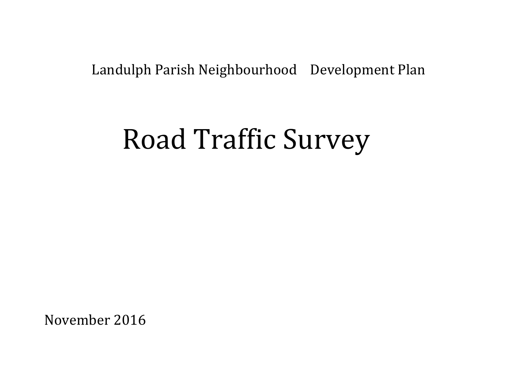# Landulph Parish Neighbourhood Development Plan

# Road Traffic Survey

November 2016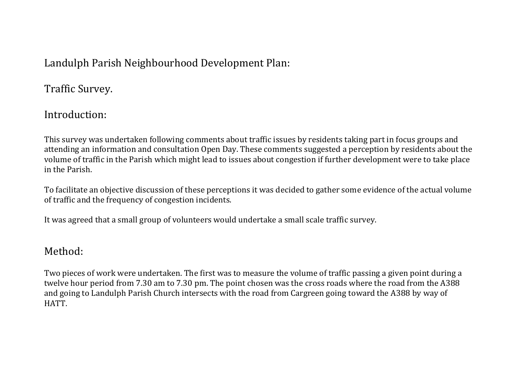### Landulph Parish Neighbourhood Development Plan:

Traffic Survey.

## Introduction:

This survey was undertaken following comments about traffic issues by residents taking part in focus groups and attending an information and consultation Open Day. These comments suggested a perception by residents about the volume of traffic in the Parish which might lead to issues about congestion if further development were to take place in the Parish.

To facilitate an objective discussion of these perceptions it was decided to gather some evidence of the actual volume of traffic and the frequency of congestion incidents.

It was agreed that a small group of volunteers would undertake a small scale traffic survey.

#### Method:

Two pieces of work were undertaken. The first was to measure the volume of traffic passing a given point during a twelve hour period from 7.30 am to 7.30 pm. The point chosen was the cross roads where the road from the A388 and going to Landulph Parish Church intersects with the road from Cargreen going toward the A388 by way of HATT.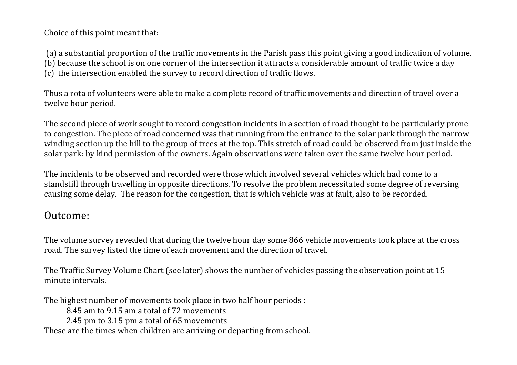Choice of this point meant that:

(a) a substantial proportion of the traffic movements in the Parish pass this point giving a good indication of volume. (b) because the school is on one corner of the intersection it attracts a considerable amount of traffic twice a day (c) the intersection enabled the survey to record direction of traffic flows.

Thus a rota of volunteers were able to make a complete record of traffic movements and direction of travel over a twelve hour period.

The second piece of work sought to record congestion incidents in a section of road thought to be particularly prone to congestion. The piece of road concerned was that running from the entrance to the solar park through the narrow winding section up the hill to the group of trees at the top. This stretch of road could be observed from just inside the solar park: by kind permission of the owners. Again observations were taken over the same twelve hour period.

The incidents to be observed and recorded were those which involved several vehicles which had come to a standstill through travelling in opposite directions. To resolve the problem necessitated some degree of reversing causing some delay. The reason for the congestion, that is which vehicle was at fault, also to be recorded.

#### Outcome:

The volume survey revealed that during the twelve hour day some 866 vehicle movements took place at the cross road. The survey listed the time of each movement and the direction of travel.

The Traffic Survey Volume Chart (see later) shows the number of vehicles passing the observation point at 15 minute intervals.

The highest number of movements took place in two half hour periods :

8.45 am to 9.15 am a total of 72 movements

2.45 pm to 3.15 pm a total of 65 movements

These are the times when children are arriving or departing from school.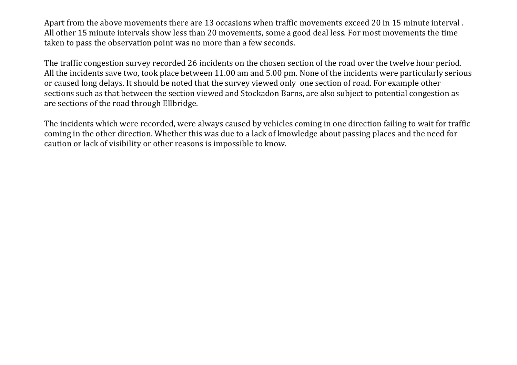Apart from the above movements there are 13 occasions when traffic movements exceed 20 in 15 minute interval . All other 15 minute intervals show less than 20 movements, some a good deal less. For most movements the time taken to pass the observation point was no more than a few seconds.

The traffic congestion survey recorded 26 incidents on the chosen section of the road over the twelve hour period. All the incidents save two, took place between 11.00 am and 5.00 pm. None of the incidents were particularly serious or caused long delays. It should be noted that the survey viewed only one section of road. For example other sections such as that between the section viewed and Stockadon Barns, are also subject to potential congestion as are sections of the road through Ellbridge.

The incidents which were recorded, were always caused by vehicles coming in one direction failing to wait for traffic coming in the other direction. Whether this was due to a lack of knowledge about passing places and the need for caution or lack of visibility or other reasons is impossible to know.